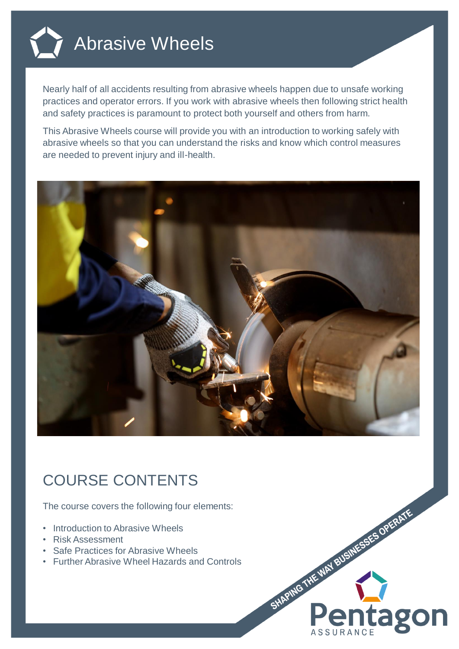

Nearly half of all accidents resulting from abrasive wheels happen due to unsafe working practices and operator errors. If you work with abrasive wheels then following strict health and safety practices is paramount to protect both yourself and others from harm.

This Abrasive Wheels course will provide you with an introduction to working safely with abrasive wheels so that you can understand the risks and know which control measures are needed to prevent injury and ill-health.



SHAPING THE WAY BUSINESSES OPERATE

itago

## COURSE CONTENTS

The course covers the following four elements:

- Introduction to Abrasive Wheels
- Risk Assessment
- Safe Practices for Abrasive Wheels
- Further Abrasive Wheel Hazards and Controls